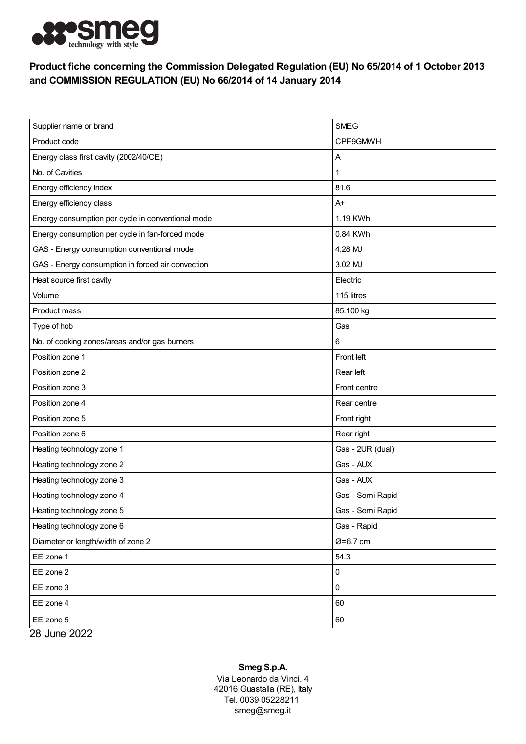

## Product fiche concerning the Commission Delegated Regulation (EU) No 65/2014 of 1 October 2013 and COMMISSION REGULATION (EU) No 66/2014 of 14 January 2014

| Supplier name or brand                            | <b>SMEG</b>      |
|---------------------------------------------------|------------------|
| Product code                                      | CPF9GMWH         |
| Energy class first cavity (2002/40/CE)            | Α                |
| No. of Cavities                                   |                  |
| Energy efficiency index                           | 81.6             |
| Energy efficiency class                           | $A+$             |
| Energy consumption per cycle in conventional mode | 1.19 KWh         |
| Energy consumption per cycle in fan-forced mode   | 0.84 KWh         |
| GAS - Energy consumption conventional mode        | 4.28 MJ          |
| GAS - Energy consumption in forced air convection | 3.02 MJ          |
| Heat source first cavity                          | Electric         |
| Volume                                            | 115 litres       |
| Product mass                                      | 85.100 kg        |
| Type of hob                                       | Gas              |
| No. of cooking zones/areas and/or gas burners     | 6                |
| Position zone 1                                   | Front left       |
| Position zone 2                                   | Rear left        |
| Position zone 3                                   | Front centre     |
| Position zone 4                                   | Rear centre      |
| Position zone 5                                   | Front right      |
| Position zone 6                                   | Rear right       |
| Heating technology zone 1                         | Gas - 2UR (dual) |
| Heating technology zone 2                         | Gas - AUX        |
| Heating technology zone 3                         | Gas - AUX        |
| Heating technology zone 4                         | Gas - Semi Rapid |
| Heating technology zone 5                         | Gas - Semi Rapid |
| Heating technology zone 6                         | Gas - Rapid      |
| Diameter or length/width of zone 2                | Ø=6.7 cm         |
| EE zone 1                                         | 54.3             |
| EE zone 2                                         | 0                |
| EE zone 3                                         | $\mathbf 0$      |
| EE zone 4                                         | 60               |
| EE zone 5                                         | 60               |
| 28 June 2022                                      |                  |

## Smeg S.p.A.

Via Leonardo da Vinci, 4 42016 Guastalla (RE), Italy Tel. 0039 05228211 smeg@smeg.it